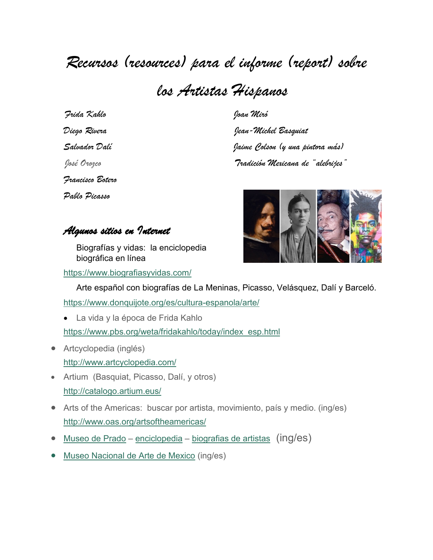## *Recursos (resources) para el informe (report) sobre*

*los Artistas Hispanos*

 *Frida Kahlo Joan Miró Francisco Botero Pablo Picasso*

*Diego Rivera Jean-Michel Basquiat Salvador Dalí Jaime Colson (y una pintora más) José Orozco Tradición Mexicana de "alebrijes"*



*Algunos sitios en Internet* 

Biografías y vidas: la enciclopedia biográfica en línea

<https://www.biografiasyvidas.com/>

Arte español con biografías de La Meninas, Picasso, Velásquez, Dalí y Barceló.

<https://www.donquijote.org/es/cultura-espanola/arte/>

- La vida y la época de Frida Kahlo [https://www.pbs.org/weta/fridakahlo/today/index\\_esp.html](https://www.pbs.org/weta/fridakahlo/today/index_esp.html)
- Artcyclopedia (inglés) <http://www.artcyclopedia.com/>
- Artium (Basquiat, Picasso, Dalí, y otros) <http://catalogo.artium.eus/>
- Arts of the Americas: buscar por artista, movimiento, país y medio. (ing/es) <http://www.oas.org/artsoftheamericas/>
- [Museo de Prado](https://www.museodelprado.es/en) [enciclopedia](https://www.museodelprado.es/aprende/enciclopedia) [biografias de artistas](https://www.museodelprado.es/aprende/enciclopedia/voces?pm:encyclopediaEntryType=biograf%C3%ADas%20de%20artistas&ordenarPor=gnoss:hasTituloDesc&orden=asc) (ing/es)
- Museo [Nacional de Arte de Mexico](http://munal.emuseum.com/people/list) (ing/es)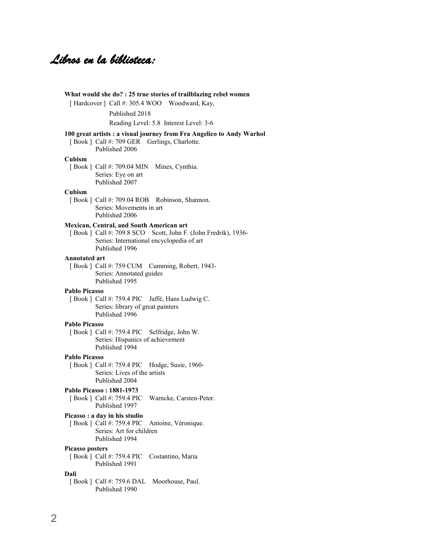## *Libros en la biblioteca:*

|                        | Published 2018                                                                                                                                                            |
|------------------------|---------------------------------------------------------------------------------------------------------------------------------------------------------------------------|
|                        | Reading Level: 5.8 Interest Level: 3-6                                                                                                                                    |
|                        | 100 great artists : a visual journey from Fra Angelico to Andy Warhol<br>[Book] Call #: 709 GER Gerlings, Charlotte.<br>Published 2006                                    |
| Cubism                 |                                                                                                                                                                           |
|                        | [Book] Call #: 709.04 MIN<br>Mines, Cynthia.<br>Series: Eye on art<br>Published 2007                                                                                      |
| Cubism                 | [Book ] Call #: 709.04 ROB Robinson, Shannon.<br>Series: Movements in art<br>Published 2006                                                                               |
|                        | Mexican, Central, and South American art<br>[Book ] Call #: 709.8 SCO Scott, John F. (John Fredrik), 1936-<br>Series: International encyclopedia of art<br>Published 1996 |
| Annotated art          | [Book ] Call #: 759 CUM Cumming, Robert, 1943-<br>Series: Annotated guides<br>Published 1995                                                                              |
| <b>Pablo Picasso</b>   |                                                                                                                                                                           |
|                        | [Book ] Call #: 759.4 PIC Jaffé, Hans Ludwig C.<br>Series: library of great painters<br>Published 1996                                                                    |
| Pablo Picasso          |                                                                                                                                                                           |
|                        | [Book ] Call #: 759.4 PIC Selfridge, John W.<br>Series: Hispanics of achievement<br>Published 1994                                                                        |
| <b>Pablo Picasso</b>   |                                                                                                                                                                           |
|                        | [Book ] Call #: 759.4 PIC Hodge, Susie, 1960-<br>Series: Lives of the artists<br>Published 2004                                                                           |
|                        | Pablo Picasso: 1881-1973<br>[Book ] Call #: 759.4 PIC<br>Warncke, Carsten-Peter.<br>Published 1997                                                                        |
|                        | Picasso : a day in his studio<br>[Book ] Call #: 759.4 PIC Antoine, Véronique.<br>Series: Art for children<br>Published 1994                                              |
| <b>Picasso posters</b> | [Book ] Call #: 759.4 PIC<br>Costantino, Maria<br>Published 1991                                                                                                          |
| Dali                   | Moorhouse, Paul.<br>[Book ] Call #: 759.6 DAL                                                                                                                             |